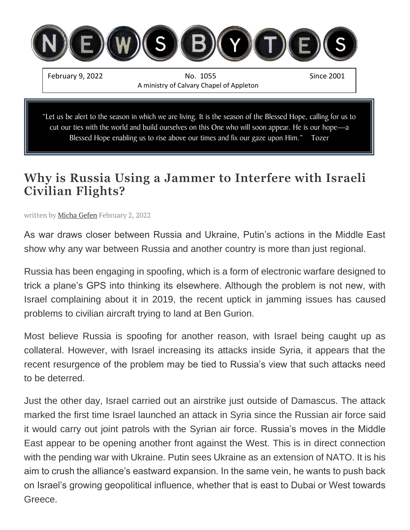

cut our ties with the world and build ourselves on this One who will soon appear. He is our hope—a Blessed Hope enabling us to rise above our times and fix our gaze upon Him." Tozer

### **Why is Russia Using a Jammer to Interfere with Israeli Civilian Flights?**

### written by [Micha Gefen](https://www.israelunwired.com/author/micha-gefen/) February 2, 2022

As war draws closer between Russia and Ukraine, Putin's actions in the Middle East show why any war between Russia and another country is more than just regional.

Russia has been engaging in spoofing, which is a form of electronic warfare designed to trick a plane's GPS into thinking its elsewhere. Although the problem is not new, with Israel complaining about it in 2019, the recent uptick in jamming issues has caused problems to civilian aircraft trying to land at Ben Gurion.

Most believe Russia is spoofing for another reason, with Israel being caught up as collateral. However, with Israel increasing its attacks inside Syria, it appears that the recent resurgence of the problem may be tied to Russia's view that such attacks need to be deterred.

Just the other day, Israel carried out an airstrike just outside of Damascus. The attack marked the first time Israel launched an attack in Syria since the Russian air force said it would carry out joint patrols with the Syrian air force. Russia's moves in the Middle East appear to be opening another front against the West. This is in direct connection with the pending war with Ukraine. Putin sees Ukraine as an extension of NATO. It is his aim to crush the alliance's eastward expansion. In the same vein, he wants to push back on Israel's growing geopolitical influence, whether that is east to Dubai or West towards Greece.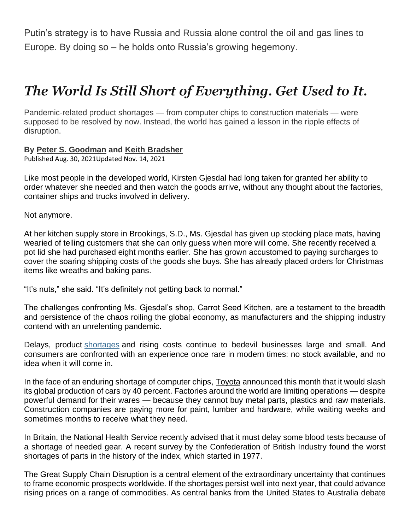Putin's strategy is to have Russia and Russia alone control the oil and gas lines to Europe. By doing so – he holds onto Russia's growing hegemony.

# *The World Is Still Short of Everything. Get Used to It.*

Pandemic-related product shortages — from computer chips to construction materials — were supposed to be resolved by now. Instead, the world has gained a lesson in the ripple effects of disruption.

#### **By Peter S. [Goodman](https://www.nytimes.com/by/peter-s-goodman) and Keith [Bradsher](https://www.nytimes.com/by/keith-bradsher)**

Published Aug. 30, 2021Updated Nov. 14, 2021

Like most people in the developed world, Kirsten Gjesdal had long taken for granted her ability to order whatever she needed and then watch the goods arrive, without any thought about the factories, container ships and trucks involved in delivery.

Not anymore.

At her kitchen supply store in Brookings, S.D., Ms. Gjesdal has given up stocking place mats, having wearied of telling customers that she can only guess when more will come. She recently received a pot lid she had purchased eight months earlier. She has grown accustomed to paying surcharges to cover the soaring shipping costs of the goods she buys. She has already placed orders for Christmas items like wreaths and baking pans.

"It's nuts," she said. "It's definitely not getting back to normal."

The challenges confronting Ms. Gjesdal's shop, Carrot Seed Kitchen, are a testament to the breadth and persistence of the chaos roiling the global economy, as manufacturers and the shipping industry contend with an unrelenting pandemic.

Delays, product [shortages](https://www.nytimes.com/2021/10/31/business/economy/global-shipping-delays-shortages.html) and rising costs continue to bedevil businesses large and small. And consumers are confronted with an experience once rare in modern times: no stock available, and no idea when it will come in.

In the face of an enduring shortage of computer chips, [Toyota](https://www.nytimes.com/2021/08/19/business/toyota-production-slowdown-chip-shortage.html) announced this month that it would slash its global production of cars by 40 percent. Factories around the world are limiting operations — despite powerful demand for their wares — because they cannot buy metal parts, plastics and raw materials. Construction companies are paying more for paint, lumber and hardware, while waiting weeks and sometimes months to receive what they need.

In Britain, the [National](https://www.supplychain.nhs.uk/icn/becton-dickinson-uk-ltd-blood-collection/) Health Service recently advised that it must delay some blood tests because of a shortage of needed gear. A recent [survey](https://www.reuters.com/world/uk/uk-factories-report-worst-shortage-stocks-record-cbi-2021-08-23/) by the Confederation of British Industry found the worst shortages of parts in the history of the index, which started in 1977.

The Great Supply Chain [Disruption](https://www.nytimes.com/2021/10/13/us/politics/biden-port-los-angeles-supply-chain.html) is a central element of the extraordinary uncertainty that continues to frame economic prospects worldwide. If the shortages persist well into next year, that could advance rising prices on a range of commodities. As central banks from the United States to Australia debate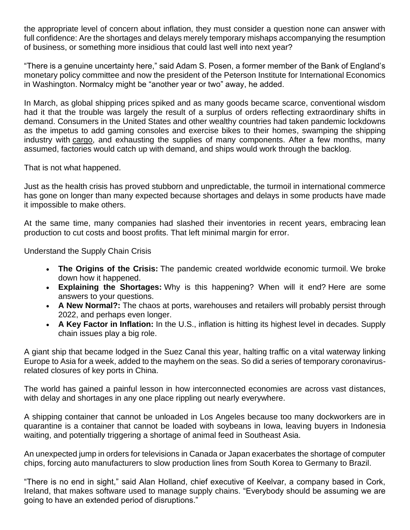the appropriate level of concern about inflation, they must consider a question none can answer with full confidence: Are the shortages and delays merely temporary mishaps accompanying the resumption of business, or something more insidious that could last well into next year?

"There is a genuine uncertainty here," said Adam S. Posen, a former member of the Bank of England's monetary policy committee and now the president of the Peterson Institute for International Economics in Washington. Normalcy might be "another year or two" away, he added.

In March, as global [shipping](https://www.nytimes.com/2021/03/06/business/global-shipping.html) prices spiked and as many goods became scarce, conventional wisdom had it that the trouble was largely the result of a surplus of orders reflecting extraordinary shifts in demand. Consumers in the United States and other wealthy countries had taken pandemic lockdowns as the impetus to add gaming consoles and exercise bikes to their homes, swamping the shipping industry with [cargo,](https://www.nytimes.com/2021/09/23/business/cargo-ships-supply-chain.html) and exhausting the supplies of many components. After a few months, many assumed, factories would catch up with demand, and ships would work through the backlog.

That is not what happened.

Just as the health crisis has proved stubborn and unpredictable, the turmoil in international commerce has gone on longer than many expected because shortages and delays in some products have made it impossible to make others.

At the same time, many companies had slashed their inventories in recent years, embracing [lean](https://www.nytimes.com/2021/06/01/business/coronavirus-global-shortages.html) [production](https://www.nytimes.com/2021/06/01/business/coronavirus-global-shortages.html) to cut costs and boost profits. That left minimal margin for error.

Understand the Supply Chain Crisis

- **The Origins of the Crisis:** The pandemic created worldwide economic turmoil. We [broke](https://www.nytimes.com/interactive/2021/12/05/business/economy/supply-chain.html?action=click&pgtype=Article&state=default&module=styln-supply-chain&variant=show®ion=MAIN_CONTENT_1&block=storyline_top_links_recirc) down how it [happened.](https://www.nytimes.com/interactive/2021/12/05/business/economy/supply-chain.html?action=click&pgtype=Article&state=default&module=styln-supply-chain&variant=show®ion=MAIN_CONTENT_1&block=storyline_top_links_recirc)
- **Explaining the Shortages:** Why is this happening? When will it end? Here are [some](https://www.nytimes.com/2021/10/22/business/shortages-supply-chain.html?action=click&pgtype=Article&state=default&module=styln-supply-chain&variant=show®ion=MAIN_CONTENT_1&block=storyline_top_links_recirc) answers to your [questions.](https://www.nytimes.com/2021/10/22/business/shortages-supply-chain.html?action=click&pgtype=Article&state=default&module=styln-supply-chain&variant=show®ion=MAIN_CONTENT_1&block=storyline_top_links_recirc)
- **A New Normal?:** The chaos at ports, warehouses and retailers will probably persist through 2022, and [perhaps](https://www.nytimes.com/2022/02/01/business/supply-chain-disruption.html?action=click&pgtype=Article&state=default&module=styln-supply-chain&variant=show®ion=MAIN_CONTENT_1&block=storyline_top_links_recirc) even longer.
- **A Key Factor in Inflation:** In the U.S., inflation is hitting its highest level in decades. [Supply](https://www.nytimes.com/article/inflation-definition.html?action=click&pgtype=Article&state=default&module=styln-supply-chain&variant=show®ion=MAIN_CONTENT_1&block=storyline_top_links_recirc) chain [issues](https://www.nytimes.com/article/inflation-definition.html?action=click&pgtype=Article&state=default&module=styln-supply-chain&variant=show®ion=MAIN_CONTENT_1&block=storyline_top_links_recirc) play a big role.

A giant ship that became lodged in the Suez Canal this year, halting traffic on a vital waterway linking Europe to Asia for a week, added to the mayhem on the seas. So did a series of temporary coronavirusrelated closures of key ports in China.

The world has gained a painful lesson in how interconnected economies are across vast distances, with delay and shortages in any one place rippling out nearly everywhere.

A shipping container that cannot be unloaded in Los Angeles because too many dockworkers are in quarantine is a container that cannot be loaded with soybeans in Iowa, leaving buyers in Indonesia waiting, and potentially triggering a shortage of animal feed in Southeast Asia.

An unexpected jump in orders for televisions in Canada or Japan exacerbates the shortage of computer chips, forcing auto manufacturers to slow production lines from South Korea to Germany to Brazil.

"There is no end in sight," said Alan Holland, chief executive of Keelvar, a company based in Cork, Ireland, that makes software used to manage supply [chains.](https://www.nytimes.com/2021/10/13/us/politics/biden-port-los-angeles-supply-chain.html) "Everybody should be assuming we are going to have an extended period of disruptions."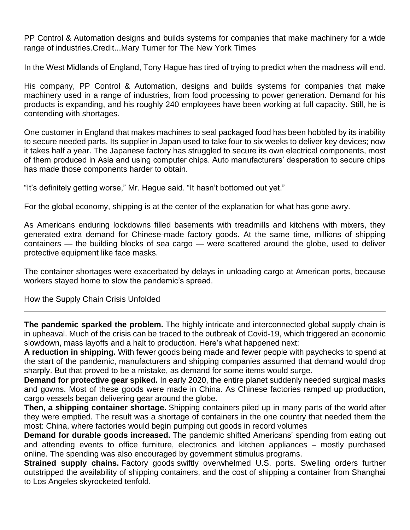PP Control & Automation designs and builds systems for companies that make machinery for a wide range of industries.Credit...Mary Turner for The New York Times

In the West Midlands of England, Tony Hague has tired of trying to predict when the madness will end.

His company, PP Control & Automation, designs and builds systems for companies that make machinery used in a range of industries, from food processing to power generation. Demand for his products is expanding, and his roughly 240 employees have been working at full capacity. Still, he is contending with shortages.

One customer in England that makes machines to seal packaged food has been hobbled by its inability to secure needed parts. Its supplier in Japan used to take four to six weeks to deliver key devices; now it takes half a year. The Japanese factory has struggled to secure its own electrical components, most of them produced in Asia and using computer chips. Auto manufacturers' desperation to secure chips has made those components harder to obtain.

"It's definitely getting worse," Mr. Hague said. "It hasn't bottomed out yet."

For the global economy, shipping is at the center of the explanation for what has gone awry.

As Americans enduring lockdowns filled basements with treadmills and kitchens with mixers, they generated extra demand for Chinese-made factory goods. At the same time, millions of shipping containers — the building blocks of sea cargo — were scattered around the globe, used to deliver protective equipment like face masks.

The container shortages were exacerbated by delays in unloading cargo at American ports, because workers stayed home to slow the pandemic's spread.

How the Supply Chain Crisis Unfolded

**The pandemic sparked the problem.** The highly intricate and interconnected global supply chain is in upheaval. Much of the crisis can be traced to the outbreak of [Covid-19,](https://www.nytimes.com/interactive/2021/12/05/business/economy/supply-chain.html?action=click&pgtype=Article&state=default&module=styln-supply-chain&variant=show®ion=MAIN_CONTENT_3&block=storyline_levelup_swipe_recirc) which triggered an economic slowdown, mass layoffs and a halt to production. Here's what happened next:

**A reduction in shipping.** With fewer goods being made and fewer people with paychecks to spend at the start of the pandemic, manufacturers and shipping companies assumed that demand would drop sharply. But that proved to be a mistake, as demand for some items would surge.

**Demand for protective gear spiked.** In early 2020, the entire planet suddenly needed surgical masks and gowns. Most of these goods were made in China. As Chinese factories ramped up production, cargo vessels began delivering gear around the globe.

**Then, a shipping container shortage.** Shipping containers piled up in [many](https://www.nytimes.com/2021/03/06/business/global-shipping.html?action=click&pgtype=Article&state=default&module=styln-supply-chain&variant=show®ion=MAIN_CONTENT_3&block=storyline_levelup_swipe_recirc) parts of the world after they were emptied. The result was a shortage of containers in the one country that needed them the most: China, where factories would begin pumping out goods in record volumes

**Demand for durable goods increased.** The pandemic shifted Americans' spending from eating out and attending events to office furniture, electronics and kitchen appliances – mostly purchased online. The spending was also encouraged by government stimulus programs.

**Strained supply chains.** Factory goods swiftly [overwhelmed](https://www.nytimes.com/2021/10/11/business/supply-chain-crisis-savannah-port.html?action=click&pgtype=Article&state=default&module=styln-supply-chain&variant=show®ion=MAIN_CONTENT_3&block=storyline_levelup_swipe_recirc) U.S. ports. Swelling orders further outstripped the availability of shipping containers, and the cost of shipping a container from Shanghai to Los Angeles skyrocketed tenfold.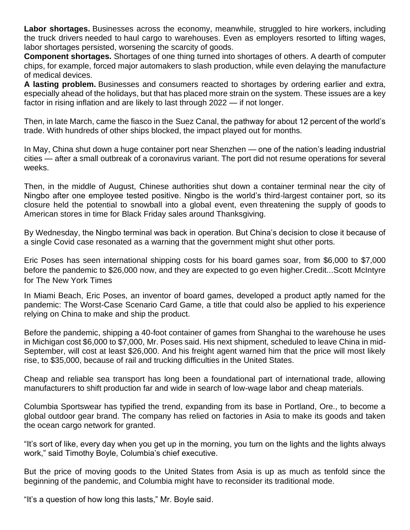**Labor shortages.** Businesses across the economy, meanwhile, struggled to hire workers, [including](https://www.nytimes.com/2021/11/09/us/politics/trucker-shortage-supply-chain.html?action=click&pgtype=Article&state=default&module=styln-supply-chain&variant=show®ion=MAIN_CONTENT_3&block=storyline_levelup_swipe_recirc) the truck [drivers](https://www.nytimes.com/2021/11/09/us/politics/trucker-shortage-supply-chain.html?action=click&pgtype=Article&state=default&module=styln-supply-chain&variant=show®ion=MAIN_CONTENT_3&block=storyline_levelup_swipe_recirc) [needed](https://www.nytimes.com/2021/11/09/us/politics/trucker-shortage-supply-chain.html?action=click&pgtype=Article&state=default&module=styln-supply-chain&variant=show®ion=MAIN_CONTENT_3&block=storyline_levelup_swipe_recirc) to haul cargo to [warehouses.](https://www.nytimes.com/2021/11/09/us/politics/trucker-shortage-supply-chain.html?action=click&pgtype=Article&state=default&module=styln-supply-chain&variant=show®ion=MAIN_CONTENT_3&block=storyline_levelup_swipe_recirc) Even as employers resorted to lifting wages, labor shortages persisted, worsening the scarcity of goods.

**Component shortages.** Shortages of one thing turned into shortages of others. A dearth of computer chips, for example, forced major [automakers](https://www.nytimes.com/2021/12/22/business/economy/car-chip-shortage-pandemic.html?action=click&pgtype=Article&state=default&module=styln-supply-chain&variant=show®ion=MAIN_CONTENT_3&block=storyline_levelup_swipe_recirc) to slash production, while even delaying the [manufacture](https://www.nytimes.com/2021/12/09/business/supply-chain-medical-device-shortages.html?action=click&pgtype=Article&state=default&module=styln-supply-chain&variant=show®ion=MAIN_CONTENT_3&block=storyline_levelup_swipe_recirc) of medical [devices.](https://www.nytimes.com/2021/12/09/business/supply-chain-medical-device-shortages.html?action=click&pgtype=Article&state=default&module=styln-supply-chain&variant=show®ion=MAIN_CONTENT_3&block=storyline_levelup_swipe_recirc)

**A lasting problem.** Businesses and consumers reacted to shortages by ordering earlier and extra, especially ahead of the holidays, but that has placed more strain on the system. These issues are a [key](https://www.nytimes.com/article/inflation-definition.html?action=click&pgtype=Article&state=default&module=styln-supply-chain&variant=show®ion=MAIN_CONTENT_3&block=storyline_levelup_swipe_recirc) factor in rising [inflation](https://www.nytimes.com/article/inflation-definition.html?action=click&pgtype=Article&state=default&module=styln-supply-chain&variant=show®ion=MAIN_CONTENT_3&block=storyline_levelup_swipe_recirc) and are likely to last [through](https://www.nytimes.com/2022/02/01/business/supply-chain-disruption.html?action=click&pgtype=Article&state=default&module=styln-supply-chain&variant=show®ion=MAIN_CONTENT_3&block=storyline_levelup_swipe_recirc) 2022 — if not longer.

Then, in late March, came the fiasco in the Suez [Canal,](https://www.nytimes.com/2021/03/24/world/middleeast/suez-canal-blocked-ship.html) the pathway for about 12 percent of the world's trade. With hundreds of other ships blocked, the impact played out for months.

In May, China shut down a huge container port near [Shenzhen](https://www.nytimes.com/2021/06/21/business/shenzhen-port-delays.html) — one of the nation's leading industrial cities — after a small outbreak of a coronavirus variant. The port did not resume operations for several weeks.

Then, in the middle of August, Chinese authorities shut down a container terminal near the city of Ningbo after one employee tested positive. Ningbo is the world's third-largest container port, so its closure held the potential to snowball into a global event, even [threatening](https://www.nytimes.com/2021/11/14/business/economy/farm-exports-supply-chain-ports.html) the supply of goods to American stores in time for Black Friday sales around Thanksgiving.

By Wednesday, the Ningbo terminal was back in operation. But China's decision to close it because of a single Covid case resonated as a warning that the government might shut other ports.

Eric Poses has seen international shipping costs for his board games soar, from \$6,000 to \$7,000 before the pandemic to \$26,000 now, and they are expected to go even higher.Credit...Scott McIntyre for The New York Times

In Miami Beach, Eric Poses, an inventor of board games, developed a product aptly named for the pandemic: The Worst-Case Scenario Card Game, a title that could also be applied to his experience relying on China to make and ship the product.

Before the pandemic, shipping a 40-foot container of games from Shanghai to the warehouse he uses in Michigan cost \$6,000 to \$7,000, Mr. Poses said. His next shipment, scheduled to leave China in mid-September, will cost at least \$26,000. And his freight agent warned him that the price will most likely rise, to \$35,000, because of rail and trucking difficulties in the United States.

Cheap and reliable sea transport has long been a foundational part of international trade, allowing manufacturers to shift production far and wide in search of low-wage labor and cheap materials.

Columbia Sportswear has typified the trend, expanding from its base in Portland, Ore., to become a global outdoor gear brand. The company has relied on factories in Asia to make its goods and taken the ocean cargo network for granted.

"It's sort of like, every day when you get up in the morning, you turn on the lights and the lights always work," said Timothy Boyle, Columbia's chief executive.

But the price of moving goods to the United States from Asia is up as much as tenfold since the beginning of the pandemic, and Columbia might have to reconsider its traditional mode.

"It's a question of how long this lasts," Mr. Boyle said.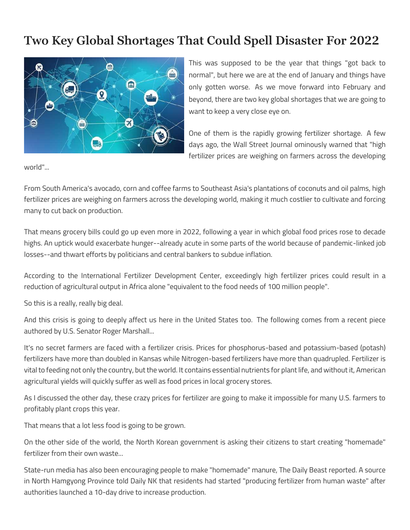## **Two Key Global Shortages That Could Spell Disaster For 2022**



This was supposed to be the year that things "got back to normal", but here we are at the end of January and things have only gotten worse. As we move forward into February and beyond, there are two key global shortages that we are going to want to keep a very close eye on.

One of them is the rapidly growing fertilizer shortage. A few days ago, the Wall Street Journal ominously warned that "high fertilizer prices are weighing on farmers across the developing

world"...

From South America's avocado, corn and coffee farms to Southeast Asia's plantations of coconuts and oil palms, high fertilizer prices are weighing on farmers across the developing world, making it much costlier to cultivate and forcing many to cut back on production.

That means grocery bills could go up even more in 2022, following a year in which global food prices rose to decade highs. An uptick would exacerbate hunger--already acute in some parts of the world because of pandemic-linked job losses--and thwart efforts by politicians and central bankers to subdue inflation.

According to the International Fertilizer Development Center, exceedingly high fertilizer prices could result in a reduction of agricultural output in Africa alone "equivalent to the food needs of 100 million people".

So this is a really, really big deal.

And this crisis is going to deeply affect us here in the United States too. The following comes from a recent piece authored by U.S. Senator Roger Marshall...

It's no secret farmers are faced with a fertilizer crisis. Prices for phosphorus-based and potassium-based (potash) fertilizers have more than doubled in Kansas while Nitrogen-based fertilizers have more than quadrupled. Fertilizer is vital to feeding not only the country, but the world. It contains essential nutrients for plant life, and without it, American agricultural yields will quickly suffer as well as food prices in local grocery stores.

As I discussed the other day, these crazy prices for fertilizer are going to make it impossible for many U.S. farmers to profitably plant crops this year.

That means that a lot less food is going to be grown.

On the other side of the world, the North Korean government is asking their citizens to start creating "homemade" fertilizer from their own waste...

State-run media has also been encouraging people to make "homemade" manure, The Daily Beast reported. A source in North Hamgyong Province told Daily NK that residents had started "producing fertilizer from human waste" after authorities launched a 10-day drive to increase production.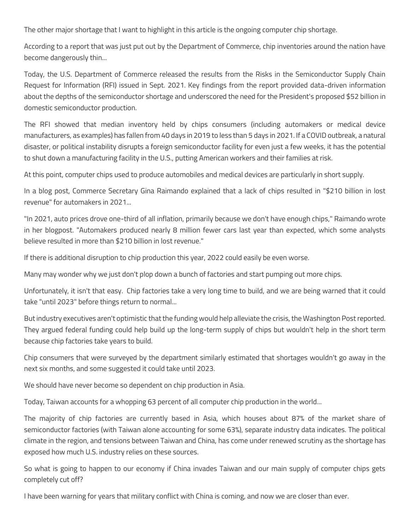The other major shortage that I want to highlight in this article is the ongoing computer chip shortage.

According to a report that was just put out by the Department of Commerce, chip inventories around the nation have become dangerously thin...

Today, the U.S. Department of Commerce released the results from the Risks in the Semiconductor Supply Chain Request for Information (RFI) issued in Sept. 2021. Key findings from the report provided data-driven information about the depths of the semiconductor shortage and underscored the need for the President's proposed \$52 billion in domestic semiconductor production.

The RFI showed that median inventory held by chips consumers (including automakers or medical device manufacturers, as examples) has fallen from 40 days in 2019 to less than 5 days in 2021. If a COVID outbreak, a natural disaster, or political instability disrupts a foreign semiconductor facility for even just a few weeks, it has the potential to shut down a manufacturing facility in the U.S., putting American workers and their families at risk.

At this point, computer chips used to produce automobiles and medical devices are particularly in short supply.

In a blog post, Commerce Secretary Gina Raimando explained that a lack of chips resulted in "\$210 billion in lost revenue" for automakers in 2021...

"In 2021, auto prices drove one-third of all inflation, primarily because we don't have enough chips," Raimando wrote in her blogpost. "Automakers produced nearly 8 million fewer cars last year than expected, which some analysts believe resulted in more than \$210 billion in lost revenue."

If there is additional disruption to chip production this year, 2022 could easily be even worse.

Many may wonder why we just don't plop down a bunch of factories and start pumping out more chips.

Unfortunately, it isn't that easy. Chip factories take a very long time to build, and we are being warned that it could take "until 2023" before things return to normal...

But industry executives aren't optimistic that the funding would help alleviate the crisis, the Washington Post reported. They argued federal funding could help build up the long-term supply of chips but wouldn't help in the short term because chip factories take years to build.

Chip consumers that were surveyed by the department similarly estimated that shortages wouldn't go away in the next six months, and some suggested it could take until 2023.

We should have never become so dependent on chip production in Asia.

Today, Taiwan accounts for a whopping 63 percent of all computer chip production in the world...

The majority of chip factories are currently based in Asia, which houses about 87% of the market share of semiconductor factories (with Taiwan alone accounting for some 63%), separate industry data indicates. The political climate in the region, and tensions between Taiwan and China, has come under renewed scrutiny as the shortage has exposed how much U.S. industry relies on these sources.

So what is going to happen to our economy if China invades Taiwan and our main supply of computer chips gets completely cut off?

I have been warning for years that military conflict with China is coming, and now we are closer than ever.